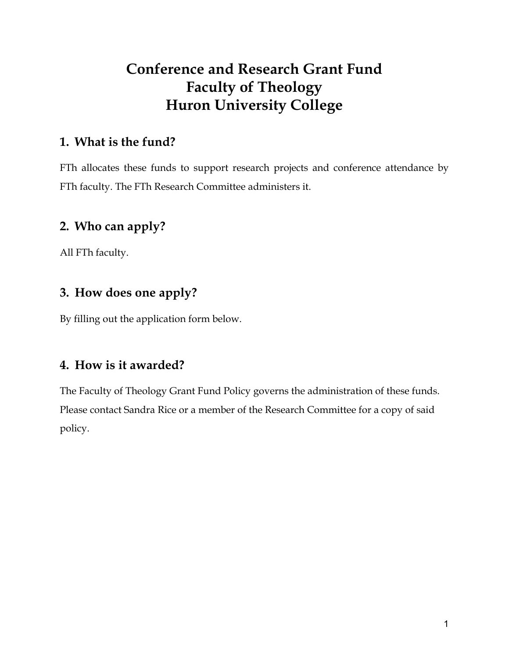# **Conference and Research Grant Fund Faculty of Theology Huron University College**

### **1. What is the fund?**

FTh allocates these funds to support research projects and conference attendance by FTh faculty. The FTh Research Committee administers it.

# **2. Who can apply?**

All FTh faculty.

# **3. How does one apply?**

By filling out the application form below.

# **4. How is it awarded?**

The Faculty of Theology Grant Fund Policy governs the administration of these funds. Please contact Sandra Rice or a member of the Research Committee for a copy of said policy.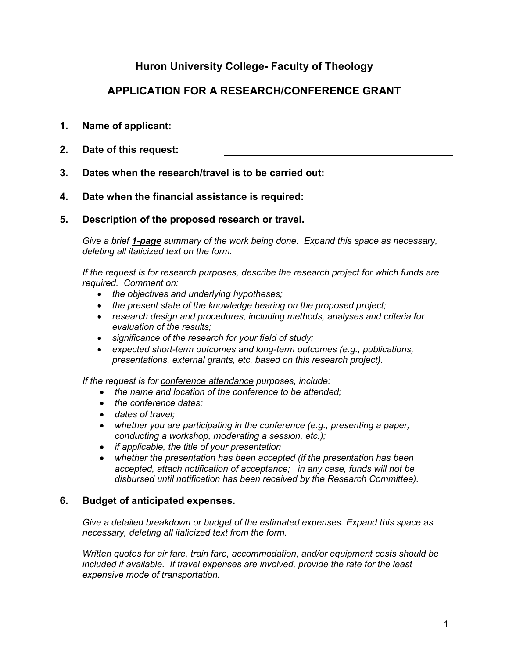### **Huron University College- Faculty of Theology**

### **APPLICATION FOR A RESEARCH/CONFERENCE GRANT**

| 1. | Name of applicant:                                   |  |  |
|----|------------------------------------------------------|--|--|
|    | 2. Date of this request:                             |  |  |
| 3. | Dates when the research/travel is to be carried out: |  |  |
| 4. | Date when the financial assistance is required:      |  |  |

**5. Description of the proposed research or travel.**

*Give a brief 1-page summary of the work being done. Expand this space as necessary, deleting all italicized text on the form.*

*If the request is for research purposes, describe the research project for which funds are required. Comment on:* 

- *the objectives and underlying hypotheses;*
- *the present state of the knowledge bearing on the proposed project;*
- *research design and procedures, including methods, analyses and criteria for evaluation of the results;*
- *significance of the research for your field of study;*
- *expected short-term outcomes and long-term outcomes (e.g., publications, presentations, external grants, etc. based on this research project).*

*If the request is for conference attendance purposes, include:*

- *the name and location of the conference to be attended;*
- *the conference dates;*
- *dates of travel;*
- *whether you are participating in the conference (e.g., presenting a paper, conducting a workshop, moderating a session, etc.);*
- *if applicable, the title of your presentation*
- *whether the presentation has been accepted (if the presentation has been accepted, attach notification of acceptance; in any case, funds will not be disbursed until notification has been received by the Research Committee).*

### **6. Budget of anticipated expenses.**

*Give a detailed breakdown or budget of the estimated expenses. Expand this space as necessary, deleting all italicized text from the form.* 

*Written quotes for air fare, train fare, accommodation, and/or equipment costs should be included if available. If travel expenses are involved, provide the rate for the least expensive mode of transportation.*